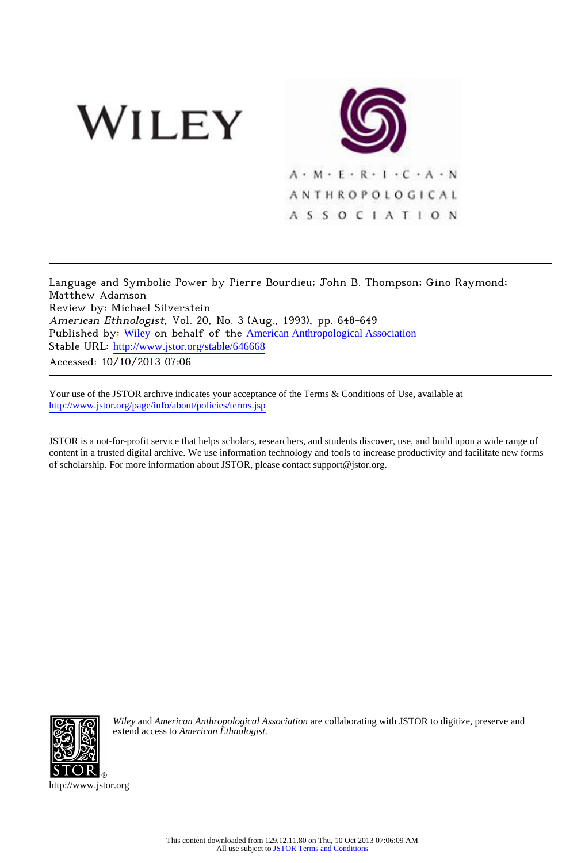

Language and Symbolic Power by Pierre Bourdieu; John B. Thompson; Gino Raymond; Matthew Adamson Review by: Michael Silverstein American Ethnologist, Vol. 20, No. 3 (Aug., 1993), pp. 648-649 Published by: [Wiley](http://www.jstor.org/action/showPublisher?publisherCode=black) on behalf of the [American Anthropological Association](http://www.jstor.org/action/showPublisher?publisherCode=anthro) Stable URL: http://www.jstor.org/stable/646668 Accessed: 10/10/2013 07:06

Your use of the JSTOR archive indicates your acceptance of the Terms & Conditions of Use, available at <http://www.jstor.org/page/info/about/policies/terms.jsp>

JSTOR is a not-for-profit service that helps scholars, researchers, and students discover, use, and build upon a wide range of content in a trusted digital archive. We use information technology and tools to increase productivity and facilitate new forms of scholarship. For more information about JSTOR, please contact support@jstor.org.



*Wiley* and *American Anthropological Association* are collaborating with JSTOR to digitize, preserve and extend access to *American Ethnologist.*

http://www.jstor.org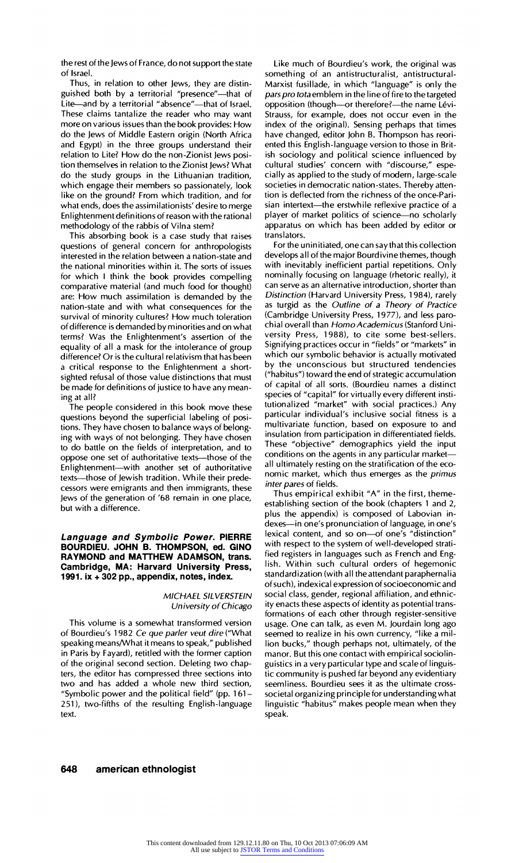**the rest of the Jews of France, do not support the state of Israel.** 

**Thus, in relation to other Jews, they are distin**guished both by a territorial "presence"-that of Lite-and by a territorial "absence"-that of Israel. **These claims tantalize the reader who may want more on various issues than the book provides: How do the Jews of Middle Eastern origin (North Africa and Egypt) in the three groups understand their relation to Lite? How do the non-Zionist Jews position themselves in relation to the Zionist Jews? What do the study groups in the Lithuanian tradition, which engage their members so passionately, look like on the ground? From which tradition, and for what ends, does the assimilationists' desire to merge Enlightenment definitions of reason with the rational methodology of the rabbis of Vilna stem?** 

**This absorbing book is a case study that raises questions of general concern for anthropologists interested in the relation between a nation-state and the national minorities within it. The sorts of issues for which I think the book provides compelling comparative material (and much food for thought) are: How much assimilation is demanded by the nation-state and with what consequences for the survival of minority cultures? How much toleration of difference is demanded by minorities and on what terms? Was the Enlightenment's assertion of the equality of all a mask for the intolerance of group difference? Or is the cultural relativism that has been a critical response to the Enlightenment a shortsighted refusal of those value distinctions that must be made for definitions of justice to have any meaning at all?** 

**The people considered in this book move these questions beyond the superficial labeling of positions. They have chosen to balance ways of belonging with ways of not belonging. They have chosen to do battle on the fields of interpretation, and to**  oppose one set of authoritative texts-those of the **Enlightenment-with another set of authoritative texts-those of Jewish tradition. While their predecessors were emigrants and then immigrants, these Jews of the generation of '68 remain in one place, but with a difference.** 

**Language and Symbolic Power. PIERRE BOURDIEU. JOHN B. THOMPSON, ed. GINO RAYMOND and MATTHEW ADAMSON, trans. Cambridge, MA: Harvard University Press, 1991. ix + 302 pp., appendix, notes, index.** 

## **MICHAEL SILVERSTEIN University of Chicago**

**This volume is a somewhat transformed version of Bourdieu's 1982 Ce que parler veut dire ("What speaking means/What it means to speak," published in Paris by Fayard), retitled with the former caption of the original second section. Deleting two chapters, the editor has compressed three sections into two and has added a whole new third section, "Symbolic power and the political field" (pp. 161- 251), two-fifths of the resulting English-language text.** 

**Like much of Bourdieu's work, the original was something of an antistructuralist, antistructural-Marxist fusillade, in which "language" is only the pars pro tota emblem in the line of fire to the targeted**  opposition (though-or therefore?-the name Lévi-**Strauss, for example, does not occur even in the index of the original). Sensing perhaps that times have changed, editor John B. Thompson has reoriented this English-language version to those in British sociology and political science influenced by cultural studies' concern with "discourse," especially as applied to the study of modern, large-scale societies in democratic nation-states. Thereby attention is deflected from the richness of the once-Pari**sian intertext-the erstwhile reflexive practice of a **player of market politics of science-no scholarly apparatus on which has been added by editor or translators.** 

For the uninitiated, one can say that this collection **develops all of the major Bourdivine themes, though with inevitably inefficient partial repetitions. Only nominally focusing on language (rhetoric really), it can serve as an alternative introduction, shorter than Distinction (Harvard University Press, 1984), rarely as turgid as the Outline of a Theory of Practice (Cambridge University Press, 1977), and less paro**chial overall than Homo Academicus (Stanford Uni**versity Press, 1988), to cite some best-sellers. Signifying practices occur in "fields" or "markets" in which our symbolic behavior is actually motivated by the unconscious but structured tendencies ("habitus") toward the end of strategic accumulation of capital of all sorts. (Bourdieu names a distinct species of "capital" for virtually every different institutionalized "market" with social practices.) Any particular individual's inclusive social fitness is a multivariate function, based on exposure to and insulation from participation in differentiated fields. These "objective" demographics yield the input conditions on the agents in any particular marketall ultimately resting on the stratification of the economic market, which thus emerges as the primus inter pares of fields.** 

**Thus empirical exhibit "A" in the first, themeestablishing section of the book (chapters 1 and 2, plus the appendix) is composed of Labovian indexes-in one's pronunciation of language, in one's**  lexical content, and so on-of one's "distinction" **with respect to the system of well-developed stratified registers in languages such as French and English. Within such cultural orders of hegemonic standardization (with all the attendant paraphernalia of such), indexical expression of socioeconomic and social class, gender, regional affiliation, and ethnicity enacts these aspects of identity as potential transformations of each other through register-sensitive usage. One can talk, as even M. Jourdain long ago seemed to realize in his own currency, "like a million bucks," though perhaps not, ultimately, of the manor. But this one contact with empirical sociolinguistics in a very particular type and scale of linguistic community is pushed far beyond any evidentiary seemliness. Bourdieu sees it as the ultimate crosssocietal organizing principle for understanding what linguistic "habitus" makes people mean when they speak.** 

## **648 american ethnologist**